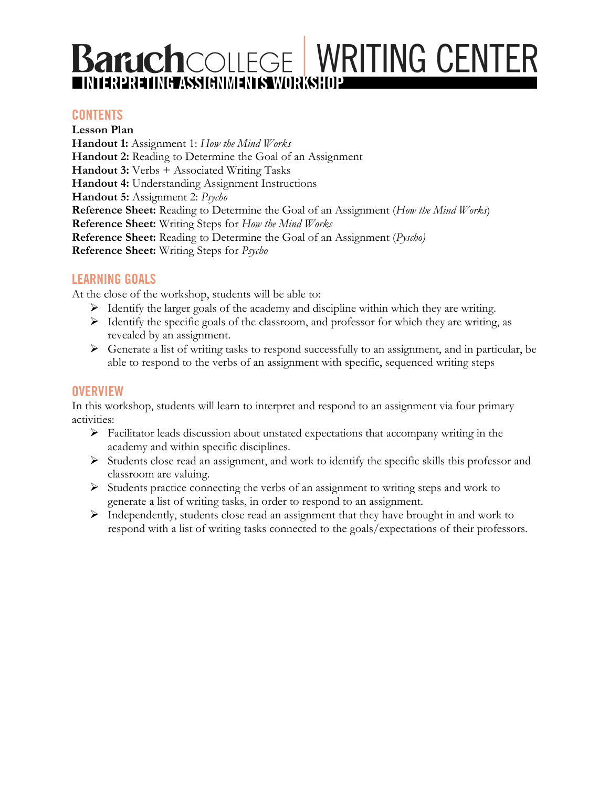# **Baruch**COLLEGE WRITING CENTER

## **CONTENTS**

**Lesson Plan Handout 1:** Assignment 1: *How the Mind Works* **Handout 2:** Reading to Determine the Goal of an Assignment **Handout 3:** Verbs + Associated Writing Tasks **Handout 4:** Understanding Assignment Instructions **Handout 5:** Assignment 2: *Psycho* **Reference Sheet:** Reading to Determine the Goal of an Assignment (*How the Mind Works*) **Reference Sheet:** Writing Steps for *How the Mind Works* **Reference Sheet:** Reading to Determine the Goal of an Assignment (*Pyscho)* **Reference Sheet:** Writing Steps for *Psycho*

## **LEARNING GOALS**

At the close of the workshop, students will be able to:

- $\triangleright$  Identify the larger goals of the academy and discipline within which they are writing.
- $\triangleright$  Identify the specific goals of the classroom, and professor for which they are writing, as revealed by an assignment.
- $\triangleright$  Generate a list of writing tasks to respond successfully to an assignment, and in particular, be able to respond to the verbs of an assignment with specific, sequenced writing steps

#### **OVERVIEW**

In this workshop, students will learn to interpret and respond to an assignment via four primary activities:

- $\triangleright$  Facilitator leads discussion about unstated expectations that accompany writing in the academy and within specific disciplines.
- Ø Students close read an assignment, and work to identify the specific skills this professor and classroom are valuing.
- $\triangleright$  Students practice connecting the verbs of an assignment to writing steps and work to generate a list of writing tasks, in order to respond to an assignment.
- $\triangleright$  Independently, students close read an assignment that they have brought in and work to respond with a list of writing tasks connected to the goals/expectations of their professors.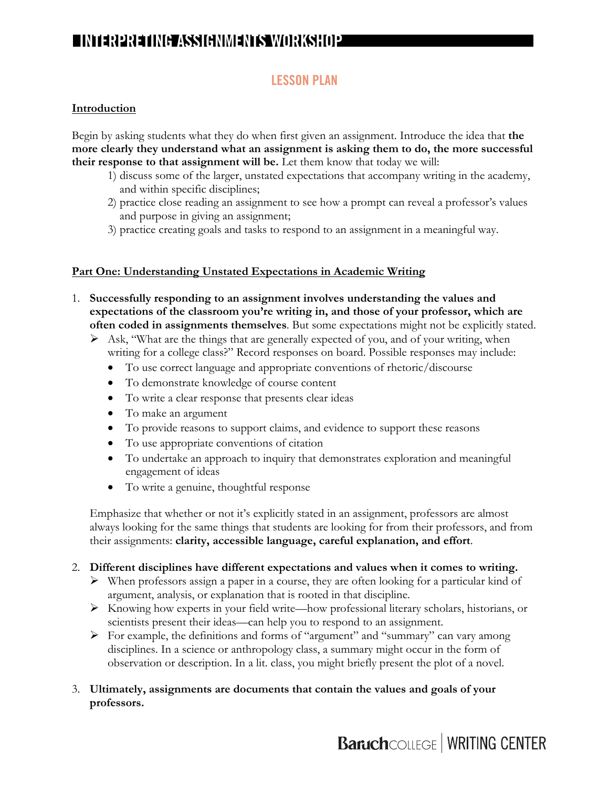## **LESSON PLAN**

#### **Introduction**

Begin by asking students what they do when first given an assignment. Introduce the idea that **the more clearly they understand what an assignment is asking them to do, the more successful their response to that assignment will be.** Let them know that today we will:

- 1) discuss some of the larger, unstated expectations that accompany writing in the academy, and within specific disciplines;
- 2) practice close reading an assignment to see how a prompt can reveal a professor's values and purpose in giving an assignment;
- 3) practice creating goals and tasks to respond to an assignment in a meaningful way.

#### **Part One: Understanding Unstated Expectations in Academic Writing**

- 1. **Successfully responding to an assignment involves understanding the values and expectations of the classroom you're writing in, and those of your professor, which are often coded in assignments themselves**. But some expectations might not be explicitly stated.
	- $\triangleright$  Ask, "What are the things that are generally expected of you, and of your writing, when writing for a college class?" Record responses on board. Possible responses may include:
		- To use correct language and appropriate conventions of rhetoric/discourse
		- To demonstrate knowledge of course content
		- To write a clear response that presents clear ideas
		- To make an argument
		- To provide reasons to support claims, and evidence to support these reasons
		- To use appropriate conventions of citation
		- To undertake an approach to inquiry that demonstrates exploration and meaningful engagement of ideas
		- To write a genuine, thoughtful response

 Emphasize that whether or not it's explicitly stated in an assignment, professors are almost always looking for the same things that students are looking for from their professors, and from their assignments: **clarity, accessible language, careful explanation, and effort**.

- 2. **Different disciplines have different expectations and values when it comes to writing.**
	- $\triangleright$  When professors assign a paper in a course, they are often looking for a particular kind of argument, analysis, or explanation that is rooted in that discipline.
	- $\triangleright$  Knowing how experts in your field write—how professional literary scholars, historians, or scientists present their ideas—can help you to respond to an assignment.
	- $\triangleright$  For example, the definitions and forms of "argument" and "summary" can vary among disciplines. In a science or anthropology class, a summary might occur in the form of observation or description. In a lit. class, you might briefly present the plot of a novel.
- 3. **Ultimately, assignments are documents that contain the values and goals of your professors.**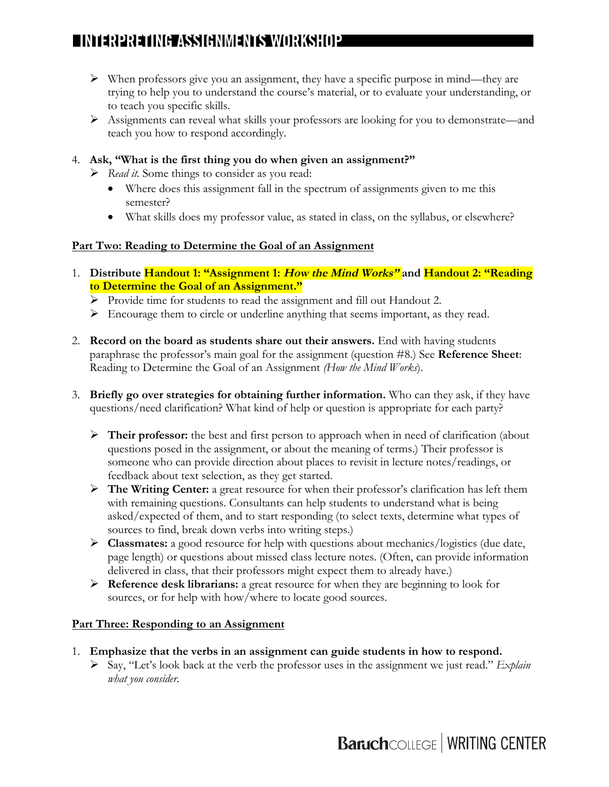- $\triangleright$  When professors give you an assignment, they have a specific purpose in mind—they are trying to help you to understand the course's material, or to evaluate your understanding, or to teach you specific skills.
- Ø Assignments can reveal what skills your professors are looking for you to demonstrate—and teach you how to respond accordingly.
- 4. **Ask, "What is the first thing you do when given an assignment?"**
	- Ø *Read it.* Some things to consider as you read:
		- Where does this assignment fall in the spectrum of assignments given to me this semester?
		- What skills does my professor value, as stated in class, on the syllabus, or elsewhere?

#### **Part Two: Reading to Determine the Goal of an Assignment**

- 1. **Distribute Handout 1: "Assignment 1: How the Mind Works" and Handout 2: "Reading to Determine the Goal of an Assignment."** 
	- Ø Provide time for students to read the assignment and fill out Handout 2.
	- $\triangleright$  Encourage them to circle or underline anything that seems important, as they read.
- 2. **Record on the board as students share out their answers.** End with having students paraphrase the professor's main goal for the assignment (question #8.) See **Reference Sheet**: Reading to Determine the Goal of an Assignment *(How the Mind Works*).
- 3. **Briefly go over strategies for obtaining further information.** Who can they ask, if they have questions/need clarification? What kind of help or question is appropriate for each party?
	- Ø **Their professor:** the best and first person to approach when in need of clarification (about questions posed in the assignment, or about the meaning of terms.) Their professor is someone who can provide direction about places to revisit in lecture notes/readings, or feedback about text selection, as they get started.
	- Ø **The Writing Center:** a great resource for when their professor's clarification has left them with remaining questions. Consultants can help students to understand what is being asked/expected of them, and to start responding (to select texts, determine what types of sources to find, break down verbs into writing steps.)
	- Ø **Classmates:** a good resource for help with questions about mechanics/logistics (due date, page length) or questions about missed class lecture notes. (Often, can provide information delivered in class, that their professors might expect them to already have.)
	- Ø **Reference desk librarians:** a great resource for when they are beginning to look for sources, or for help with how/where to locate good sources.

#### **Part Three: Responding to an Assignment**

- 1. **Emphasize that the verbs in an assignment can guide students in how to respond.**
	- Ø Say, "Let's look back at the verb the professor uses in the assignment we just read." *Explain what you consider*.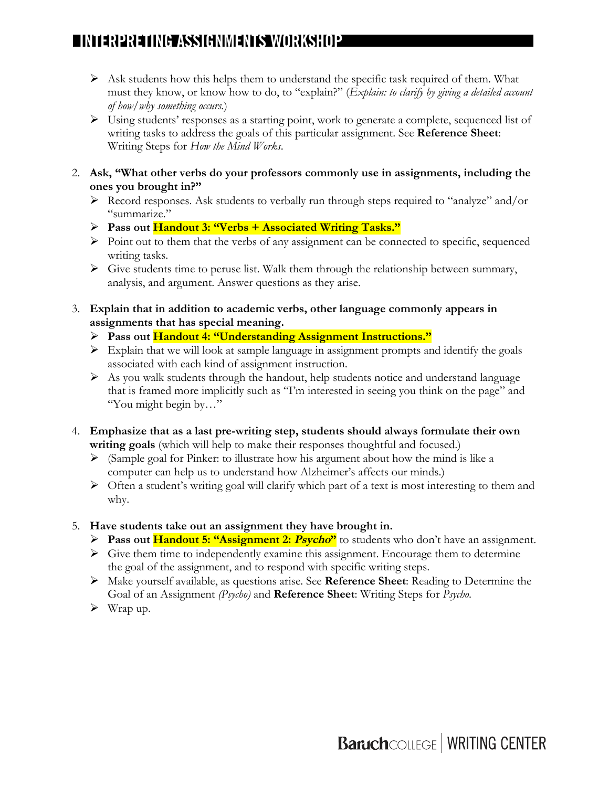- $\triangleright$  Ask students how this helps them to understand the specific task required of them. What must they know, or know how to do, to "explain?" (*Explain: to clarify by giving a detailed account of how/why something occurs.*)
- Ø Using students' responses as a starting point, work to generate a complete, sequenced list of writing tasks to address the goals of this particular assignment. See **Reference Sheet**: Writing Steps for *How the Mind Works*.
- 2. **Ask, "What other verbs do your professors commonly use in assignments, including the ones you brought in?"**
	- $\triangleright$  Record responses. Ask students to verbally run through steps required to "analyze" and/or "summarize."
	- Ø **Pass out Handout 3: "Verbs + Associated Writing Tasks."**
	- $\triangleright$  Point out to them that the verbs of any assignment can be connected to specific, sequenced writing tasks.
	- $\triangleright$  Give students time to peruse list. Walk them through the relationship between summary, analysis, and argument. Answer questions as they arise.
- 3. **Explain that in addition to academic verbs, other language commonly appears in assignments that has special meaning.**
	- Ø **Pass out Handout 4: "Understanding Assignment Instructions."**
	- $\triangleright$  Explain that we will look at sample language in assignment prompts and identify the goals associated with each kind of assignment instruction.
	- $\triangleright$  As you walk students through the handout, help students notice and understand language that is framed more implicitly such as "I'm interested in seeing you think on the page" and "You might begin by…"
- 4. **Emphasize that as a last pre-writing step, students should always formulate their own writing goals** (which will help to make their responses thoughtful and focused.)
	- $\triangleright$  (Sample goal for Pinker: to illustrate how his argument about how the mind is like a computer can help us to understand how Alzheimer's affects our minds.)
	- $\triangleright$  Often a student's writing goal will clarify which part of a text is most interesting to them and why.
- 5. **Have students take out an assignment they have brought in.**
	- Ø **Pass out Handout 5: "Assignment 2: Psycho"** to students who don't have an assignment.
	- $\triangleright$  Give them time to independently examine this assignment. Encourage them to determine the goal of the assignment, and to respond with specific writing steps.
	- Ø Make yourself available, as questions arise. See **Reference Sheet**: Reading to Determine the Goal of an Assignment *(Psycho)* and **Reference Sheet**: Writing Steps for *Psycho*.
	- $\triangleright$  Wrap up.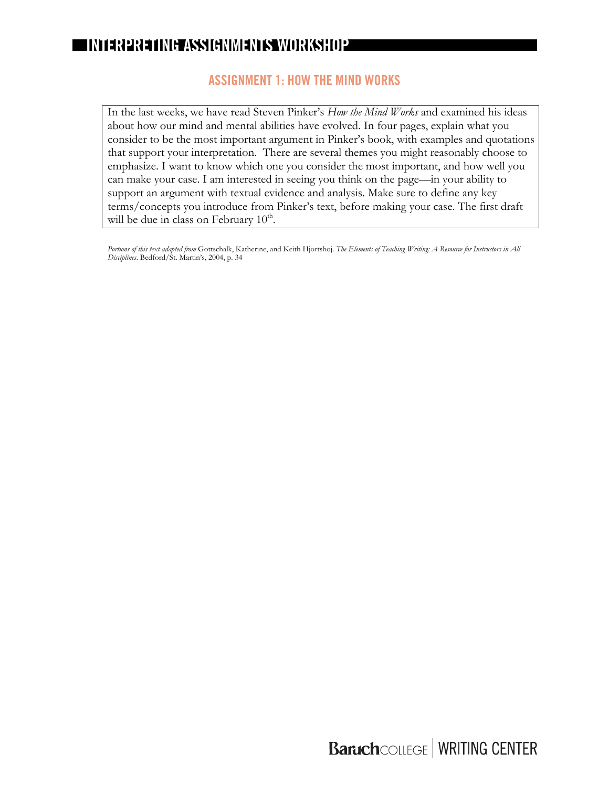#### **ASSIGNMENT 1: HOW THE MIND WORKS**

In the last weeks, we have read Steven Pinker's *How the Mind Works* and examined his ideas about how our mind and mental abilities have evolved. In four pages, explain what you consider to be the most important argument in Pinker's book, with examples and quotations that support your interpretation. There are several themes you might reasonably choose to emphasize. I want to know which one you consider the most important, and how well you can make your case. I am interested in seeing you think on the page—in your ability to support an argument with textual evidence and analysis. Make sure to define any key terms/concepts you introduce from Pinker's text, before making your case. The first draft will be due in class on February  $10<sup>th</sup>$ .

*Portions of this text adapted from* Gottschalk, Katherine, and Keith Hjortshoj. *The Elements of Teaching Writing: A Resource for Instructors in All Disciplines*. Bedford/St. Martin's, 2004, p. 34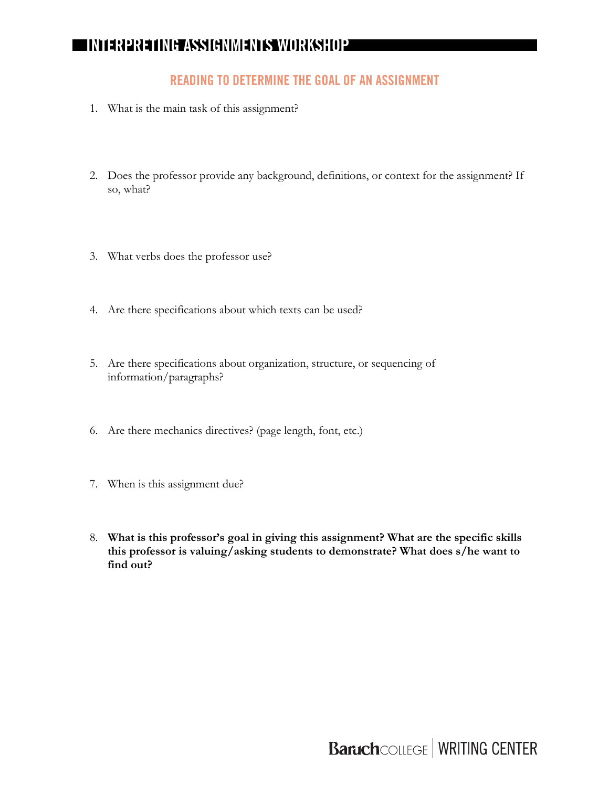## **READING TO DETERMINE THE GOAL OF AN ASSIGNMENT**

- 1. What is the main task of this assignment?
- 2. Does the professor provide any background, definitions, or context for the assignment? If so, what?
- 3. What verbs does the professor use?
- 4. Are there specifications about which texts can be used?
- 5. Are there specifications about organization, structure, or sequencing of information/paragraphs?
- 6. Are there mechanics directives? (page length, font, etc.)
- 7. When is this assignment due?
- 8. **What is this professor's goal in giving this assignment? What are the specific skills this professor is valuing/asking students to demonstrate? What does s/he want to find out?**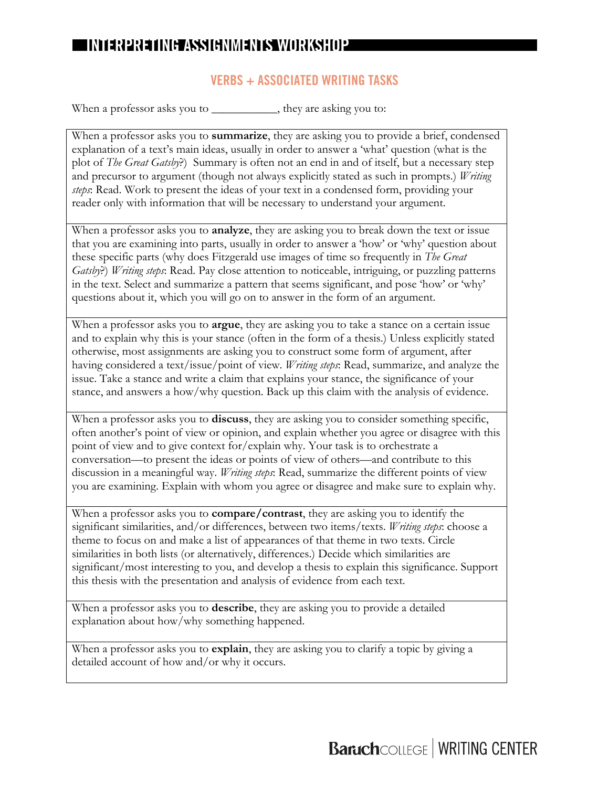## **VERBS + ASSOCIATED WRITING TASKS**

When a professor asks you to \_\_\_\_\_\_\_\_\_\_\_, they are asking you to:

When a professor asks you to **summarize**, they are asking you to provide a brief, condensed explanation of a text's main ideas, usually in order to answer a 'what' question (what is the plot of *The Great Gatsby*?) Summary is often not an end in and of itself, but a necessary step and precursor to argument (though not always explicitly stated as such in prompts.) *Writing steps*: Read. Work to present the ideas of your text in a condensed form, providing your reader only with information that will be necessary to understand your argument.

When a professor asks you to **analyze**, they are asking you to break down the text or issue that you are examining into parts, usually in order to answer a 'how' or 'why' question about these specific parts (why does Fitzgerald use images of time so frequently in *The Great Gatsby*?) *Writing steps*: Read. Pay close attention to noticeable, intriguing, or puzzling patterns in the text. Select and summarize a pattern that seems significant, and pose 'how' or 'why' questions about it, which you will go on to answer in the form of an argument.

When a professor asks you to **argue**, they are asking you to take a stance on a certain issue and to explain why this is your stance (often in the form of a thesis.) Unless explicitly stated otherwise, most assignments are asking you to construct some form of argument, after having considered a text/issue/point of view. *Writing steps*: Read, summarize, and analyze the issue. Take a stance and write a claim that explains your stance, the significance of your stance, and answers a how/why question. Back up this claim with the analysis of evidence.

When a professor asks you to **discuss**, they are asking you to consider something specific, often another's point of view or opinion, and explain whether you agree or disagree with this point of view and to give context for/explain why. Your task is to orchestrate a conversation—to present the ideas or points of view of others—and contribute to this discussion in a meaningful way. *Writing steps*: Read, summarize the different points of view you are examining. Explain with whom you agree or disagree and make sure to explain why.

When a professor asks you to **compare/contrast**, they are asking you to identify the significant similarities, and/or differences, between two items/texts. *Writing steps*: choose a theme to focus on and make a list of appearances of that theme in two texts. Circle similarities in both lists (or alternatively, differences.) Decide which similarities are significant/most interesting to you, and develop a thesis to explain this significance. Support this thesis with the presentation and analysis of evidence from each text.

When a professor asks you to **describe**, they are asking you to provide a detailed explanation about how/why something happened.

When a professor asks you to **explain**, they are asking you to clarify a topic by giving a detailed account of how and/or why it occurs.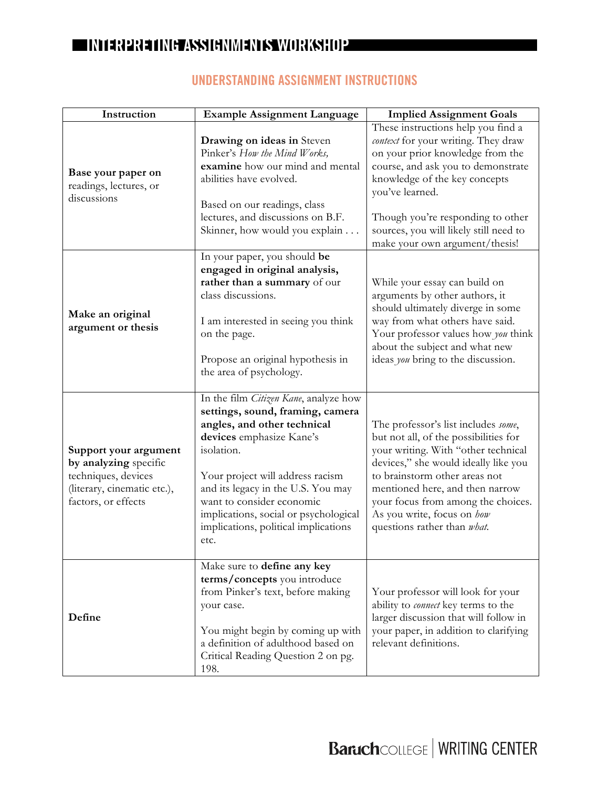$\overline{\phantom{a}}$ 

| Instruction                                                                                                                 | <b>Example Assignment Language</b>                                                                                                                                                                                                                                                                                                                 | <b>Implied Assignment Goals</b>                                                                                                                                                                                                                                                                                                    |
|-----------------------------------------------------------------------------------------------------------------------------|----------------------------------------------------------------------------------------------------------------------------------------------------------------------------------------------------------------------------------------------------------------------------------------------------------------------------------------------------|------------------------------------------------------------------------------------------------------------------------------------------------------------------------------------------------------------------------------------------------------------------------------------------------------------------------------------|
| Base your paper on<br>readings, lectures, or<br>discussions                                                                 | Drawing on ideas in Steven<br>Pinker's How the Mind Works,<br>examine how our mind and mental<br>abilities have evolved.<br>Based on our readings, class<br>lectures, and discussions on B.F.<br>Skinner, how would you explain                                                                                                                    | These instructions help you find a<br>context for your writing. They draw<br>on your prior knowledge from the<br>course, and ask you to demonstrate<br>knowledge of the key concepts<br>you've learned.<br>Though you're responding to other<br>sources, you will likely still need to<br>make your own argument/thesis!           |
| Make an original<br>argument or thesis                                                                                      | In your paper, you should be<br>engaged in original analysis,<br>rather than a summary of our<br>class discussions.<br>I am interested in seeing you think<br>on the page.<br>Propose an original hypothesis in<br>the area of psychology.                                                                                                         | While your essay can build on<br>arguments by other authors, it<br>should ultimately diverge in some<br>way from what others have said.<br>Your professor values how you think<br>about the subject and what new<br>ideas you bring to the discussion.                                                                             |
| Support your argument<br>by analyzing specific<br>techniques, devices<br>(literary, cinematic etc.),<br>factors, or effects | In the film Citizen Kane, analyze how<br>settings, sound, framing, camera<br>angles, and other technical<br>devices emphasize Kane's<br>isolation.<br>Your project will address racism<br>and its legacy in the U.S. You may<br>want to consider economic<br>implications, social or psychological<br>implications, political implications<br>etc. | The professor's list includes some,<br>but not all, of the possibilities for<br>your writing. With "other technical<br>devices," she would ideally like you<br>to brainstorm other areas not<br>mentioned here, and then narrow<br>your focus from among the choices.<br>As you write, focus on how<br>questions rather than what. |
| Define                                                                                                                      | Make sure to define any key<br>terms/concepts you introduce<br>from Pinker's text, before making<br>your case.<br>You might begin by coming up with<br>a definition of adulthood based on<br>Critical Reading Question 2 on pg.<br>198.                                                                                                            | Your professor will look for your<br>ability to <i>connect</i> key terms to the<br>larger discussion that will follow in<br>your paper, in addition to clarifying<br>relevant definitions.                                                                                                                                         |

## **UNDERSTANDING ASSIGNMENT INSTRUCTIONS**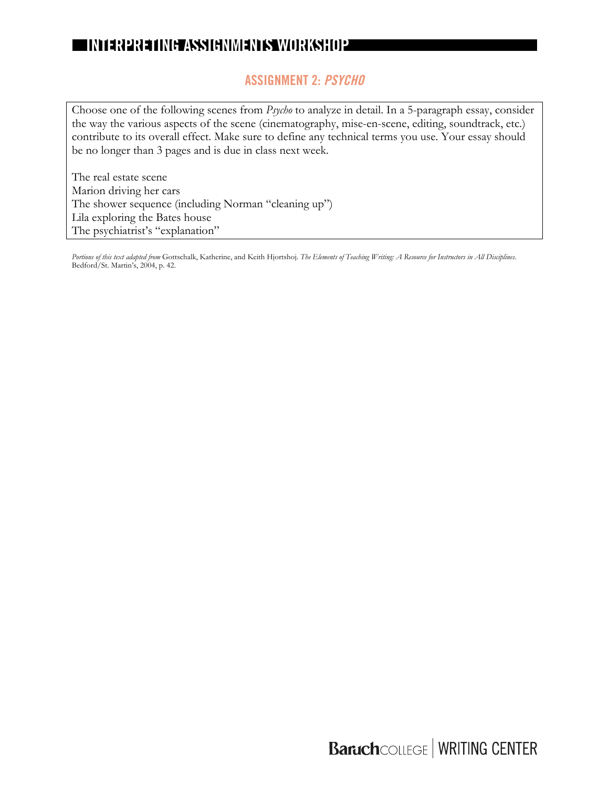## **ASSIGNMENT 2: PSYCHO**

Choose one of the following scenes from *Psycho* to analyze in detail. In a 5-paragraph essay, consider the way the various aspects of the scene (cinematography, mise-en-scene, editing, soundtrack, etc.) contribute to its overall effect. Make sure to define any technical terms you use. Your essay should be no longer than 3 pages and is due in class next week.

The real estate scene Marion driving her cars The shower sequence (including Norman "cleaning up") Lila exploring the Bates house The psychiatrist's "explanation"

*Portions of this text adapted from* Gottschalk, Katherine, and Keith Hjortshoj. *The Elements of Teaching Writing: A Resource for Instructors in All Disciplines*. Bedford/St. Martin's, 2004, p. 42.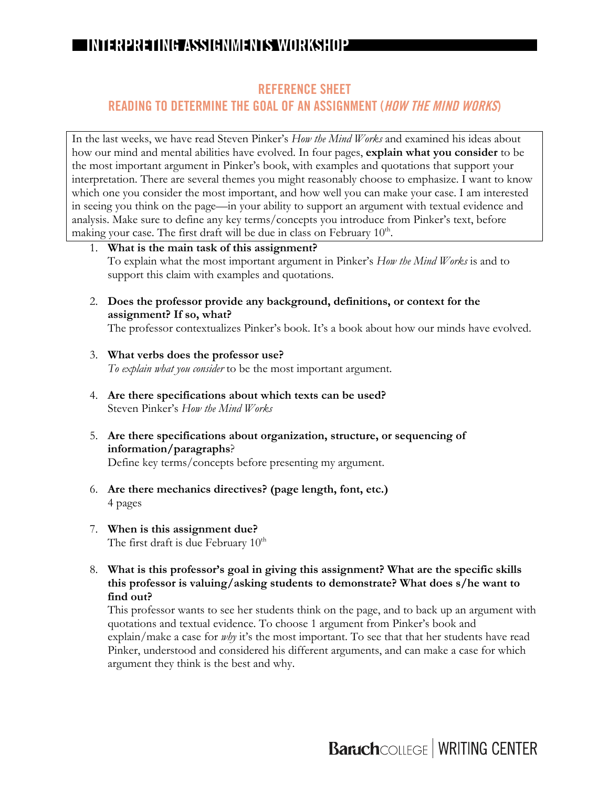## **REFERENCE SHEET**

## **READING TO DETERMINE THE GOAL OF AN ASSIGNMENT (HOW THE MIND WORKS)**

In the last weeks, we have read Steven Pinker's *How the Mind Works* and examined his ideas about how our mind and mental abilities have evolved. In four pages, **explain what you consider** to be the most important argument in Pinker's book, with examples and quotations that support your interpretation. There are several themes you might reasonably choose to emphasize. I want to know which one you consider the most important, and how well you can make your case. I am interested in seeing you think on the page—in your ability to support an argument with textual evidence and analysis. Make sure to define any key terms/concepts you introduce from Pinker's text, before making your case. The first draft will be due in class on February  $10<sup>th</sup>$ .

- 1. **What is the main task of this assignment?** To explain what the most important argument in Pinker's *How the Mind Works* is and to support this claim with examples and quotations.
- 2. **Does the professor provide any background, definitions, or context for the assignment? If so, what?**

The professor contextualizes Pinker's book. It's a book about how our minds have evolved.

- 3. **What verbs does the professor use?**  *To explain what you consider* to be the most important argument.
- 4. **Are there specifications about which texts can be used?**  Steven Pinker's *How the Mind Works*
- 5. **Are there specifications about organization, structure, or sequencing of information/paragraphs**? Define key terms/concepts before presenting my argument.
- 6. **Are there mechanics directives? (page length, font, etc.)** 4 pages
- 7. **When is this assignment due?** The first draft is due February  $10^{th}$
- 8. **What is this professor's goal in giving this assignment? What are the specific skills this professor is valuing/asking students to demonstrate? What does s/he want to find out?**

This professor wants to see her students think on the page, and to back up an argument with quotations and textual evidence. To choose 1 argument from Pinker's book and explain/make a case for *why* it's the most important. To see that that her students have read Pinker, understood and considered his different arguments, and can make a case for which argument they think is the best and why.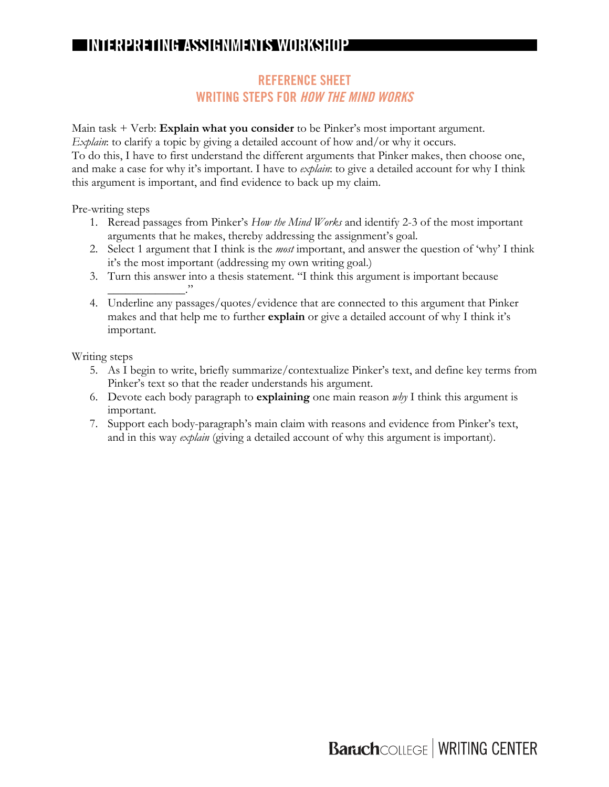## **REFERENCE SHEET WRITING STEPS FOR HOW THE MIND WORKS**

Main task + Verb: **Explain what you consider** to be Pinker's most important argument. *Explain*: to clarify a topic by giving a detailed account of how and/or why it occurs. To do this, I have to first understand the different arguments that Pinker makes, then choose one, and make a case for why it's important. I have to *explain*: to give a detailed account for why I think this argument is important, and find evidence to back up my claim.

Pre-writing steps

- 1. Reread passages from Pinker's *How the Mind Works* and identify 2-3 of the most important arguments that he makes, thereby addressing the assignment's goal.
- 2. Select 1 argument that I think is the *most* important, and answer the question of 'why' I think it's the most important (addressing my own writing goal.)
- 3. Turn this answer into a thesis statement. "I think this argument is important because \_\_\_\_\_\_\_\_\_\_\_\_\_."
- 4. Underline any passages/quotes/evidence that are connected to this argument that Pinker makes and that help me to further **explain** or give a detailed account of why I think it's important.

Writing steps

- 5. As I begin to write, briefly summarize/contextualize Pinker's text, and define key terms from Pinker's text so that the reader understands his argument.
- 6. Devote each body paragraph to **explaining** one main reason *why* I think this argument is important.
- 7. Support each body-paragraph's main claim with reasons and evidence from Pinker's text, and in this way *explain* (giving a detailed account of why this argument is important).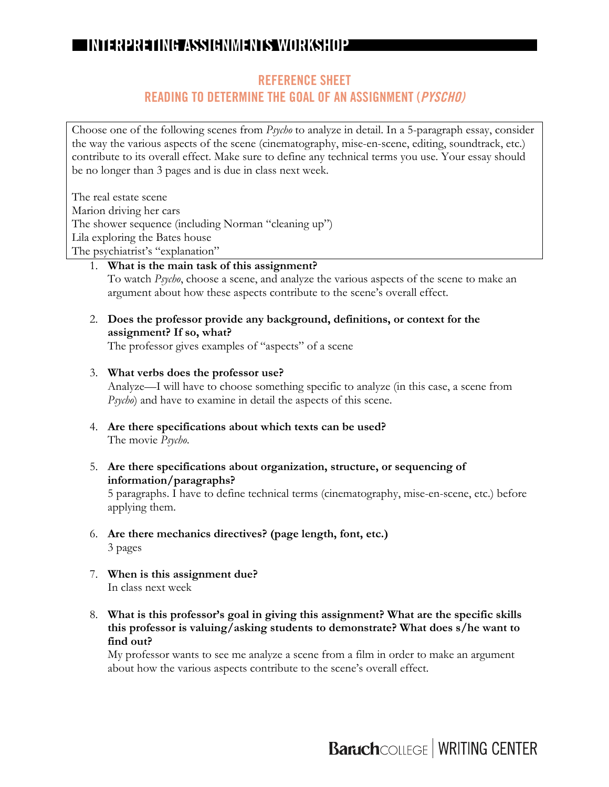## **REFERENCE SHEET**

#### **READING TO DETERMINE THE GOAL OF AN ASSIGNMENT (PYSCHO)**

Choose one of the following scenes from *Psycho* to analyze in detail. In a 5-paragraph essay, consider the way the various aspects of the scene (cinematography, mise-en-scene, editing, soundtrack, etc.) contribute to its overall effect. Make sure to define any technical terms you use. Your essay should be no longer than 3 pages and is due in class next week.

The real estate scene Marion driving her cars The shower sequence (including Norman "cleaning up") Lila exploring the Bates house The psychiatrist's "explanation"

- 1. **What is the main task of this assignment?** To watch *Psycho*, choose a scene, and analyze the various aspects of the scene to make an argument about how these aspects contribute to the scene's overall effect.
- 2. **Does the professor provide any background, definitions, or context for the assignment? If so, what?**

The professor gives examples of "aspects" of a scene

3. **What verbs does the professor use?** 

Analyze—I will have to choose something specific to analyze (in this case, a scene from *Psycho*) and have to examine in detail the aspects of this scene.

- 4. **Are there specifications about which texts can be used?**  The movie *Psycho*.
- 5. **Are there specifications about organization, structure, or sequencing of information/paragraphs?**

5 paragraphs. I have to define technical terms (cinematography, mise-en-scene, etc.) before applying them.

- 6. **Are there mechanics directives? (page length, font, etc.)** 3 pages
- 7. **When is this assignment due?** In class next week
- 8. **What is this professor's goal in giving this assignment? What are the specific skills this professor is valuing/asking students to demonstrate? What does s/he want to find out?**

My professor wants to see me analyze a scene from a film in order to make an argument about how the various aspects contribute to the scene's overall effect.